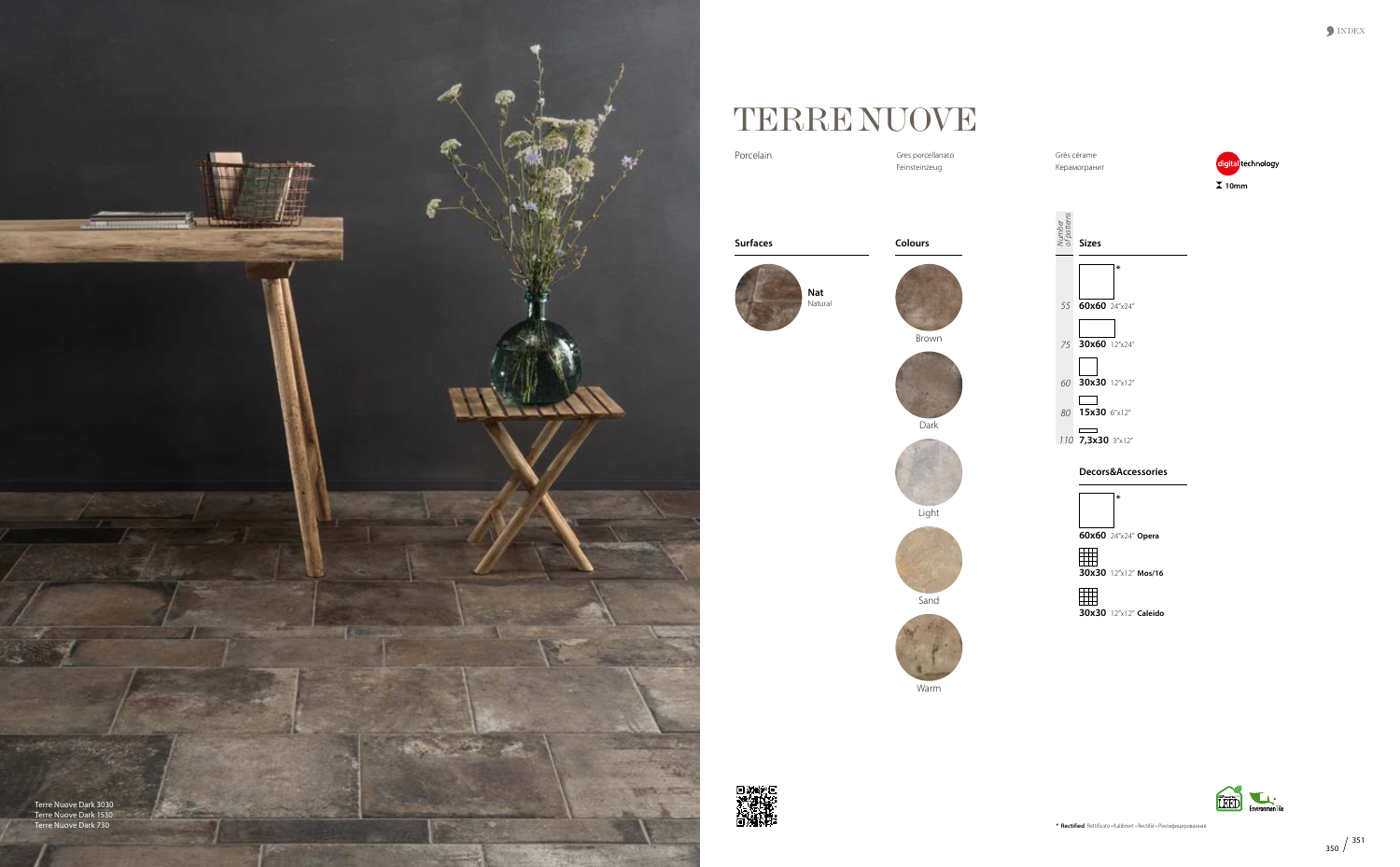



## TERRE NUOVE

Grès cérame Керамогранит

*Sizes*<br>Sizes<br>Sizes

Gres porcellanato Feinsteinzeug

Porcelain



**Surfaces**



**Colours**



Brown







Light





Warm







**\***

*55* **60x60** 24"x24"

*75* **30x60** 12"x24"

*60* **30x30** 12"x12"

### **Decors&Accessories**



**\***

**60x60** 24"x24" **Opera**

**30x30** 12"x12" **Mos/16**

# **30x30** 12"x12" **Caleido**